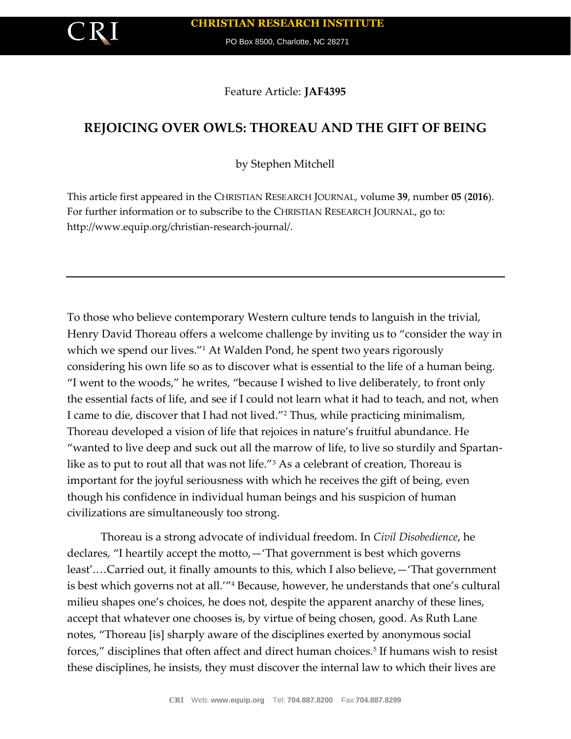PO Box 8500, Charlotte, NC 28271

Feature Article: **JAF4395**

# **REJOICING OVER OWLS: THOREAU AND THE GIFT OF BEING**

by Stephen Mitchell

This article first appeared in the CHRISTIAN RESEARCH JOURNAL, volume **39**, number **05** (**2016**). For further information or to subscribe to the CHRISTIAN RESEARCH JOURNAL, go to: http://www.equip.org/christian-research-journal/.

To those who believe contemporary Western culture tends to languish in the trivial, Henry David Thoreau offers a welcome challenge by inviting us to "consider the way in which we spend our lives."<sup>1</sup> At Walden Pond, he spent two years rigorously considering his own life so as to discover what is essential to the life of a human being. "I went to the woods," he writes, "because I wished to live deliberately, to front only the essential facts of life, and see if I could not learn what it had to teach, and not, when I came to die, discover that I had not lived."<sup>2</sup> Thus, while practicing minimalism, Thoreau developed a vision of life that rejoices in nature's fruitful abundance. He "wanted to live deep and suck out all the marrow of life, to live so sturdily and Spartanlike as to put to rout all that was not life."<sup>3</sup> As a celebrant of creation, Thoreau is important for the joyful seriousness with which he receives the gift of being, even though his confidence in individual human beings and his suspicion of human civilizations are simultaneously too strong.

Thoreau is a strong advocate of individual freedom. In *Civil Disobedience*, he declares, "I heartily accept the motto,—'That government is best which governs least'.…Carried out, it finally amounts to this, which I also believe,—'That government is best which governs not at all.'"<sup>4</sup> Because, however, he understands that one's cultural milieu shapes one's choices, he does not, despite the apparent anarchy of these lines, accept that whatever one chooses is, by virtue of being chosen, good. As Ruth Lane notes, "Thoreau [is] sharply aware of the disciplines exerted by anonymous social forces," disciplines that often affect and direct human choices.<sup>5</sup> If humans wish to resist these disciplines, he insists, they must discover the internal law to which their lives are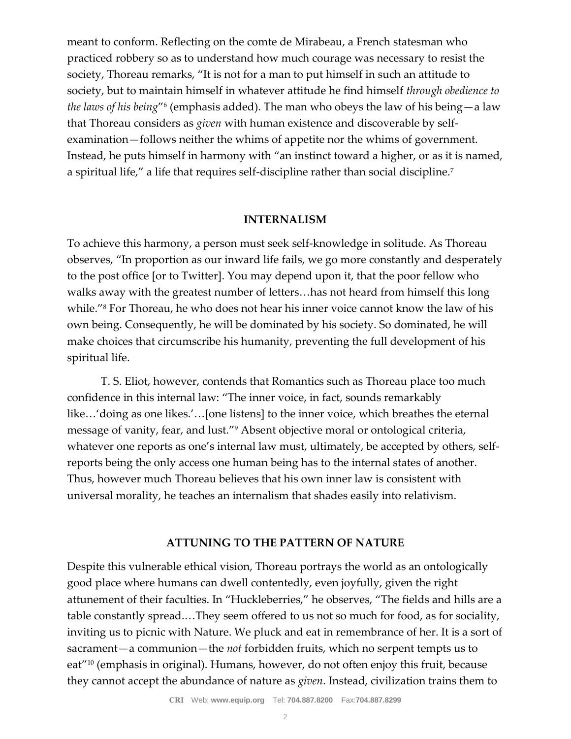meant to conform. Reflecting on the comte de Mirabeau, a French statesman who practiced robbery so as to understand how much courage was necessary to resist the society, Thoreau remarks, "It is not for a man to put himself in such an attitude to society, but to maintain himself in whatever attitude he find himself *through obedience to the laws of his being*"<sup>6</sup> (emphasis added). The man who obeys the law of his being—a law that Thoreau considers as *given* with human existence and discoverable by selfexamination—follows neither the whims of appetite nor the whims of government. Instead, he puts himself in harmony with "an instinct toward a higher, or as it is named, a spiritual life," a life that requires self-discipline rather than social discipline.<sup>7</sup>

# **INTERNALISM**

To achieve this harmony, a person must seek self-knowledge in solitude. As Thoreau observes, "In proportion as our inward life fails, we go more constantly and desperately to the post office [or to Twitter]. You may depend upon it, that the poor fellow who walks away with the greatest number of letters…has not heard from himself this long while."<sup>8</sup> For Thoreau, he who does not hear his inner voice cannot know the law of his own being. Consequently, he will be dominated by his society. So dominated, he will make choices that circumscribe his humanity, preventing the full development of his spiritual life.

T. S. Eliot, however, contends that Romantics such as Thoreau place too much confidence in this internal law: "The inner voice, in fact, sounds remarkably like…'doing as one likes.'…[one listens] to the inner voice, which breathes the eternal message of vanity, fear, and lust."<sup>9</sup> Absent objective moral or ontological criteria, whatever one reports as one's internal law must, ultimately, be accepted by others, selfreports being the only access one human being has to the internal states of another. Thus, however much Thoreau believes that his own inner law is consistent with universal morality, he teaches an internalism that shades easily into relativism.

# **ATTUNING TO THE PATTERN OF NATURE**

Despite this vulnerable ethical vision, Thoreau portrays the world as an ontologically good place where humans can dwell contentedly, even joyfully, given the right attunement of their faculties. In "Huckleberries," he observes, "The fields and hills are a table constantly spread.…They seem offered to us not so much for food, as for sociality, inviting us to picnic with Nature. We pluck and eat in remembrance of her. It is a sort of sacrament—a communion—the *not* forbidden fruits, which no serpent tempts us to eat"<sup>10</sup> (emphasis in original). Humans, however, do not often enjoy this fruit, because they cannot accept the abundance of nature as *given*. Instead, civilization trains them to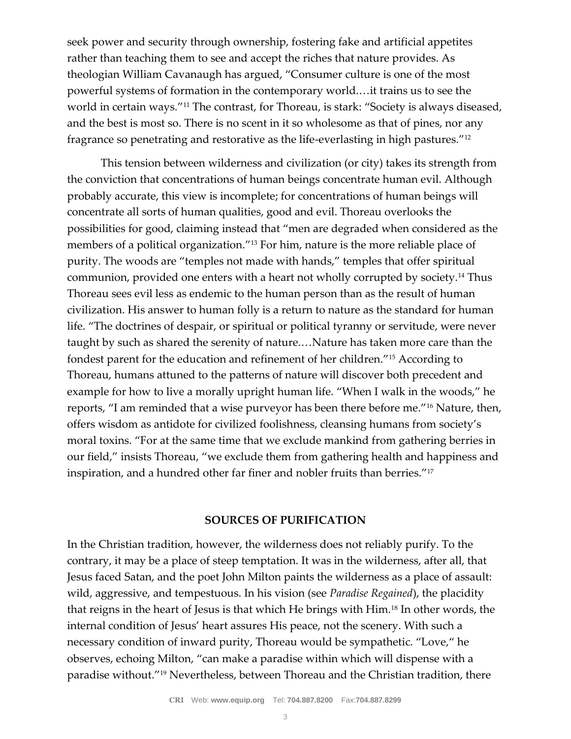seek power and security through ownership, fostering fake and artificial appetites rather than teaching them to see and accept the riches that nature provides. As theologian William Cavanaugh has argued, "Consumer culture is one of the most powerful systems of formation in the contemporary world.…it trains us to see the world in certain ways."<sup>11</sup> The contrast, for Thoreau, is stark: "Society is always diseased, and the best is most so. There is no scent in it so wholesome as that of pines, nor any fragrance so penetrating and restorative as the life-everlasting in high pastures."<sup>12</sup>

This tension between wilderness and civilization (or city) takes its strength from the conviction that concentrations of human beings concentrate human evil. Although probably accurate, this view is incomplete; for concentrations of human beings will concentrate all sorts of human qualities, good and evil. Thoreau overlooks the possibilities for good, claiming instead that "men are degraded when considered as the members of a political organization."<sup>13</sup> For him, nature is the more reliable place of purity. The woods are "temples not made with hands," temples that offer spiritual communion, provided one enters with a heart not wholly corrupted by society.<sup>14</sup> Thus Thoreau sees evil less as endemic to the human person than as the result of human civilization. His answer to human folly is a return to nature as the standard for human life. "The doctrines of despair, or spiritual or political tyranny or servitude, were never taught by such as shared the serenity of nature.…Nature has taken more care than the fondest parent for the education and refinement of her children."<sup>15</sup> According to Thoreau, humans attuned to the patterns of nature will discover both precedent and example for how to live a morally upright human life. "When I walk in the woods," he reports, "I am reminded that a wise purveyor has been there before me."<sup>16</sup> Nature, then, offers wisdom as antidote for civilized foolishness, cleansing humans from society's moral toxins. "For at the same time that we exclude mankind from gathering berries in our field," insists Thoreau, "we exclude them from gathering health and happiness and inspiration, and a hundred other far finer and nobler fruits than berries."<sup>17</sup>

# **SOURCES OF PURIFICATION**

In the Christian tradition, however, the wilderness does not reliably purify. To the contrary, it may be a place of steep temptation. It was in the wilderness, after all, that Jesus faced Satan, and the poet John Milton paints the wilderness as a place of assault: wild, aggressive, and tempestuous. In his vision (see *Paradise Regained*), the placidity that reigns in the heart of Jesus is that which He brings with Him.<sup>18</sup> In other words, the internal condition of Jesus' heart assures His peace, not the scenery. With such a necessary condition of inward purity, Thoreau would be sympathetic. "Love," he observes, echoing Milton, "can make a paradise within which will dispense with a paradise without."<sup>19</sup> Nevertheless, between Thoreau and the Christian tradition, there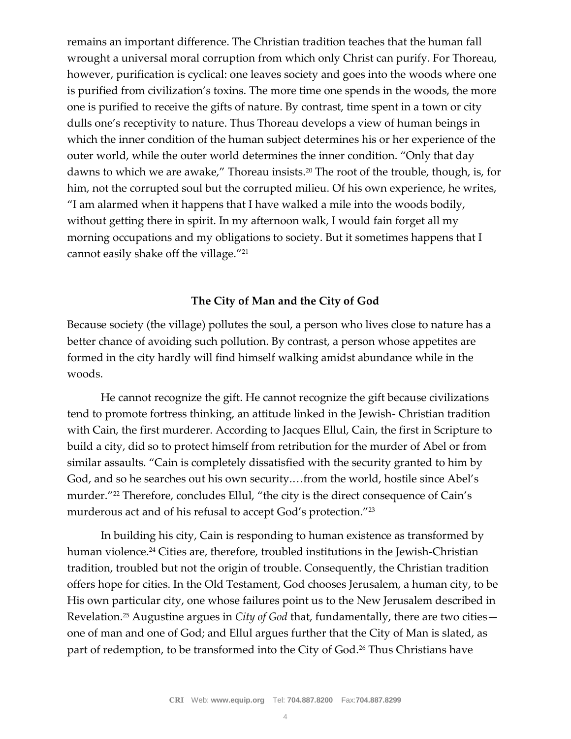remains an important difference. The Christian tradition teaches that the human fall wrought a universal moral corruption from which only Christ can purify. For Thoreau, however, purification is cyclical: one leaves society and goes into the woods where one is purified from civilization's toxins. The more time one spends in the woods, the more one is purified to receive the gifts of nature. By contrast, time spent in a town or city dulls one's receptivity to nature. Thus Thoreau develops a view of human beings in which the inner condition of the human subject determines his or her experience of the outer world, while the outer world determines the inner condition. "Only that day dawns to which we are awake," Thoreau insists.<sup>20</sup> The root of the trouble, though, is, for him, not the corrupted soul but the corrupted milieu. Of his own experience, he writes, "I am alarmed when it happens that I have walked a mile into the woods bodily, without getting there in spirit. In my afternoon walk, I would fain forget all my morning occupations and my obligations to society. But it sometimes happens that I cannot easily shake off the village."<sup>21</sup>

# **The City of Man and the City of God**

Because society (the village) pollutes the soul, a person who lives close to nature has a better chance of avoiding such pollution. By contrast, a person whose appetites are formed in the city hardly will find himself walking amidst abundance while in the woods.

He cannot recognize the gift. He cannot recognize the gift because civilizations tend to promote fortress thinking, an attitude linked in the Jewish- Christian tradition with Cain, the first murderer. According to Jacques Ellul, Cain, the first in Scripture to build a city, did so to protect himself from retribution for the murder of Abel or from similar assaults. "Cain is completely dissatisfied with the security granted to him by God, and so he searches out his own security.…from the world, hostile since Abel's murder."<sup>22</sup> Therefore, concludes Ellul, "the city is the direct consequence of Cain's murderous act and of his refusal to accept God's protection."<sup>23</sup>

In building his city, Cain is responding to human existence as transformed by human violence.<sup>24</sup> Cities are, therefore, troubled institutions in the Jewish-Christian tradition, troubled but not the origin of trouble. Consequently, the Christian tradition offers hope for cities. In the Old Testament, God chooses Jerusalem, a human city, to be His own particular city, one whose failures point us to the New Jerusalem described in Revelation.<sup>25</sup> Augustine argues in *City of God* that, fundamentally, there are two cities one of man and one of God; and Ellul argues further that the City of Man is slated, as part of redemption, to be transformed into the City of God.<sup>26</sup> Thus Christians have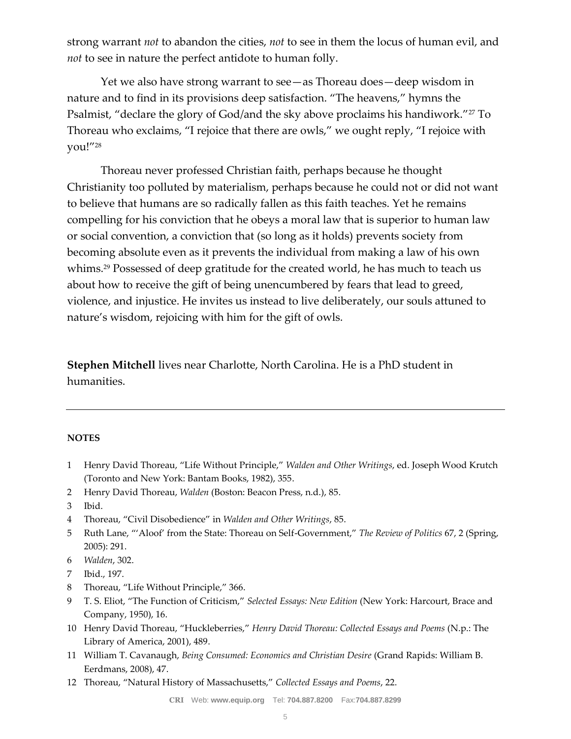strong warrant *not* to abandon the cities, *not* to see in them the locus of human evil, and *not* to see in nature the perfect antidote to human folly.

Yet we also have strong warrant to see—as Thoreau does—deep wisdom in nature and to find in its provisions deep satisfaction. "The heavens," hymns the Psalmist, "declare the glory of God/and the sky above proclaims his handiwork."<sup>27</sup> To Thoreau who exclaims, "I rejoice that there are owls," we ought reply, "I rejoice with you!"<sup>28</sup>

Thoreau never professed Christian faith, perhaps because he thought Christianity too polluted by materialism, perhaps because he could not or did not want to believe that humans are so radically fallen as this faith teaches. Yet he remains compelling for his conviction that he obeys a moral law that is superior to human law or social convention, a conviction that (so long as it holds) prevents society from becoming absolute even as it prevents the individual from making a law of his own whims.<sup>29</sup> Possessed of deep gratitude for the created world, he has much to teach us about how to receive the gift of being unencumbered by fears that lead to greed, violence, and injustice. He invites us instead to live deliberately, our souls attuned to nature's wisdom, rejoicing with him for the gift of owls.

**Stephen Mitchell** lives near Charlotte, North Carolina. He is a PhD student in humanities.

#### **NOTES**

- 1 Henry David Thoreau, "Life Without Principle," *Walden and Other Writings*, ed. Joseph Wood Krutch (Toronto and New York: Bantam Books, 1982), 355.
- 2 Henry David Thoreau, *Walden* (Boston: Beacon Press, n.d.), 85.
- 3 Ibid.
- 4 Thoreau, "Civil Disobedience" in *Walden and Other Writings*, 85.
- 5 Ruth Lane, "'Aloof' from the State: Thoreau on Self-Government," *The Review of Politics* 67, 2 (Spring, 2005): 291.
- 6 *Walden*, 302.
- 7 Ibid., 197.
- 8 Thoreau, "Life Without Principle," 366.
- 9 T. S. Eliot, "The Function of Criticism," *Selected Essays: New Edition* (New York: Harcourt, Brace and Company, 1950), 16.
- 10 Henry David Thoreau, "Huckleberries," *Henry David Thoreau: Collected Essays and Poems* (N.p.: The Library of America, 2001), 489.
- 11 William T. Cavanaugh, *Being Consumed: Economics and Christian Desire* (Grand Rapids: William B. Eerdmans, 2008), 47.
- 12 Thoreau, "Natural History of Massachusetts," *Collected Essays and Poems*, 22.